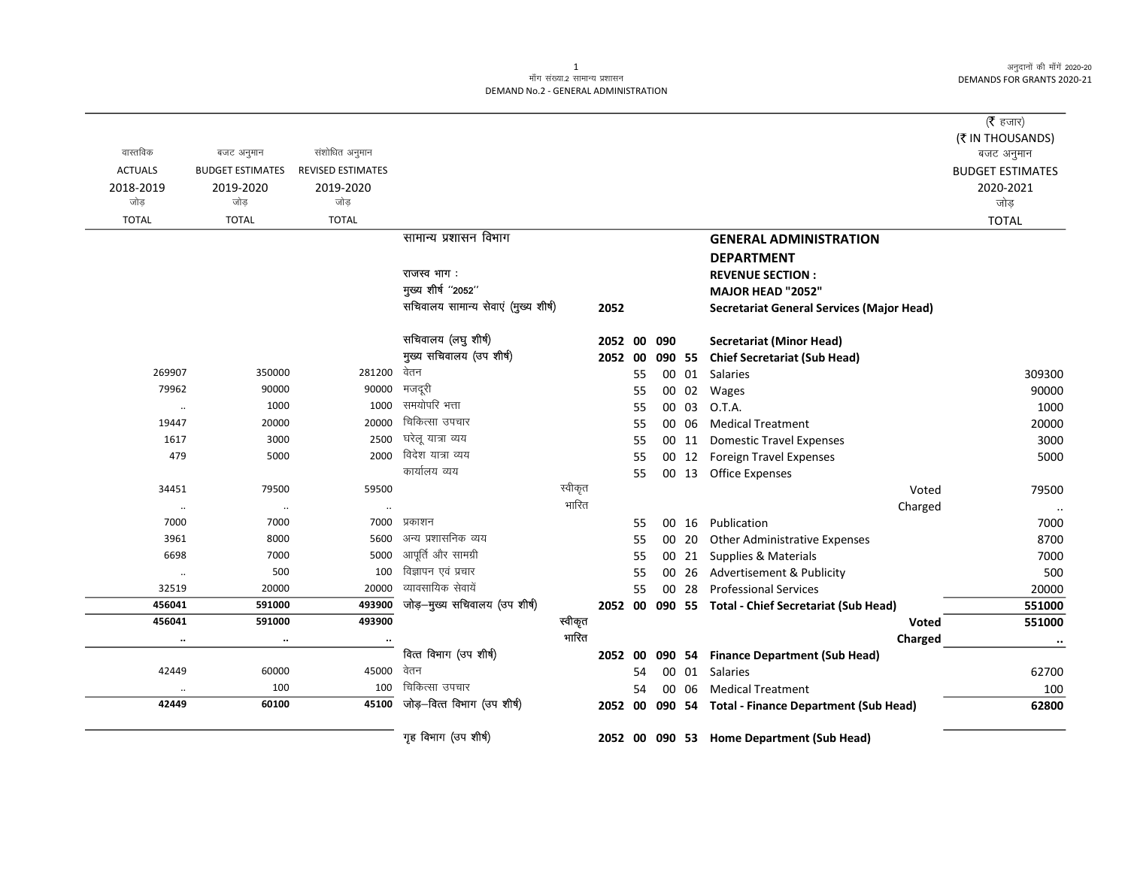# .<br>माँग संख्या.2 सामान्य प्रशासन DEMAND No.2 - GENERAL ADMINISTRATION

|                |                         |                          |                                      |         |         |    |             |       |                                                      | ( $\bar{\tau}$ हजार)    |
|----------------|-------------------------|--------------------------|--------------------------------------|---------|---------|----|-------------|-------|------------------------------------------------------|-------------------------|
|                |                         |                          |                                      |         |         |    |             |       |                                                      | (₹ IN THOUSANDS)        |
| वास्तविक       | बजट अनुमान              | संशोधित अनुमान           |                                      |         |         |    |             |       |                                                      | बजट अनुमान              |
| <b>ACTUALS</b> | <b>BUDGET ESTIMATES</b> | <b>REVISED ESTIMATES</b> |                                      |         |         |    |             |       |                                                      | <b>BUDGET ESTIMATES</b> |
| 2018-2019      | 2019-2020               | 2019-2020                |                                      |         |         |    |             |       |                                                      | 2020-2021               |
| जोड            | जोड                     | जोड़                     |                                      |         |         |    |             |       |                                                      | जोड़                    |
| <b>TOTAL</b>   | <b>TOTAL</b>            | <b>TOTAL</b>             |                                      |         |         |    |             |       |                                                      | <b>TOTAL</b>            |
|                |                         |                          | सामान्य प्रशासन विभाग                |         |         |    |             |       | <b>GENERAL ADMINISTRATION</b>                        |                         |
|                |                         |                          |                                      |         |         |    |             |       | <b>DEPARTMENT</b>                                    |                         |
|                |                         |                          | राजस्व भाग :                         |         |         |    |             |       | <b>REVENUE SECTION:</b>                              |                         |
|                |                         |                          | मुख्य शीर्ष "2052"                   |         |         |    |             |       | MAJOR HEAD "2052"                                    |                         |
|                |                         |                          | सचिवालय सामान्य सेवाएं (मुख्य शीर्ष) |         | 2052    |    |             |       | <b>Secretariat General Services (Major Head)</b>     |                         |
|                |                         |                          | सचिवालय (लघु शीर्ष)                  |         |         |    | 2052 00 090 |       | <b>Secretariat (Minor Head)</b>                      |                         |
|                |                         |                          | मुख्य सचिवालय (उप शीर्ष)             |         | 2052 00 |    |             |       | 090 55 Chief Secretariat (Sub Head)                  |                         |
| 269907         | 350000                  | 281200                   | वेतन                                 |         |         | 55 |             |       | 00 01 Salaries                                       | 309300                  |
| 79962          | 90000                   | 90000                    | मजदूरी                               |         |         | 55 |             |       | 00 02 Wages                                          | 90000                   |
| $\ldots$       | 1000                    | 1000                     | समयोपरि भत्ता                        |         |         | 55 |             | 00 03 | O.T.A.                                               | 1000                    |
| 19447          | 20000                   | 20000                    | चिकित्सा उपचार                       |         |         | 55 |             | 00 06 | <b>Medical Treatment</b>                             | 20000                   |
| 1617           | 3000                    | 2500                     | घरेलू यात्रा व्यय                    |         |         | 55 |             | 00 11 | <b>Domestic Travel Expenses</b>                      | 3000                    |
| 479            | 5000                    | 2000                     | विदेश यात्रा व्यय                    |         |         | 55 |             | 00 12 | <b>Foreign Travel Expenses</b>                       | 5000                    |
|                |                         |                          | कार्यालय व्यय                        |         |         | 55 |             |       | 00 13 Office Expenses                                |                         |
| 34451          | 79500                   | 59500                    |                                      | स्वीकृत |         |    |             |       | Voted                                                | 79500                   |
| $\cdot\cdot$   | $\cdot\cdot$            | $\ldots$                 |                                      | भारित   |         |    |             |       | Charged                                              | $\ldots$                |
| 7000           | 7000                    | 7000                     | प्रकाशन                              |         |         | 55 |             |       | 00 16 Publication                                    | 7000                    |
| 3961           | 8000                    | 5600                     | अन्य प्रशासनिक व्यय                  |         |         | 55 |             | 00 20 | <b>Other Administrative Expenses</b>                 | 8700                    |
| 6698           | 7000                    | 5000                     | आपूर्ति और सामग्री                   |         |         | 55 |             | 00 21 | Supplies & Materials                                 | 7000                    |
| $\cdot\cdot$   | 500                     | 100                      | विज्ञापन एवं प्रचार                  |         |         | 55 |             | 00 26 | Advertisement & Publicity                            | 500                     |
| 32519          | 20000                   | 20000                    | व्यावसायिक सेवायें                   |         |         | 55 |             | 00 28 | <b>Professional Services</b>                         | 20000                   |
| 456041         | 591000                  | 493900                   | जोड़-मुख्य सचिवालय (उप शीर्ष)        |         |         |    |             |       | 2052 00 090 55 Total - Chief Secretariat (Sub Head)  | 551000                  |
| 456041         | 591000                  | 493900                   |                                      | स्वीकृत |         |    |             |       | Voted                                                | 551000                  |
| $\ldots$       | $\ldots$                |                          |                                      | भारित   |         |    |             |       | Charged                                              | $\cdots$                |
|                |                         |                          | वित्त विभाग (उप शीर्ष)               |         | 2052 00 |    |             |       | 090 54 Finance Department (Sub Head)                 |                         |
| 42449          | 60000                   | 45000                    | वेतन                                 |         |         | 54 |             |       | 00 01 Salaries                                       | 62700                   |
|                | 100                     | 100                      | चिकित्सा उपचार                       |         |         | 54 |             | 00 06 | <b>Medical Treatment</b>                             | 100                     |
| 42449          | 60100                   | 45100                    | जोड़-वित्त विभाग (उप शीर्ष)          |         |         |    |             |       | 2052 00 090 54 Total - Finance Department (Sub Head) | 62800                   |
|                |                         |                          | गृह विभाग (उप शीर्ष)                 |         |         |    |             |       | 2052 00 090 53 Home Department (Sub Head)            |                         |

 $\mathbf{1}$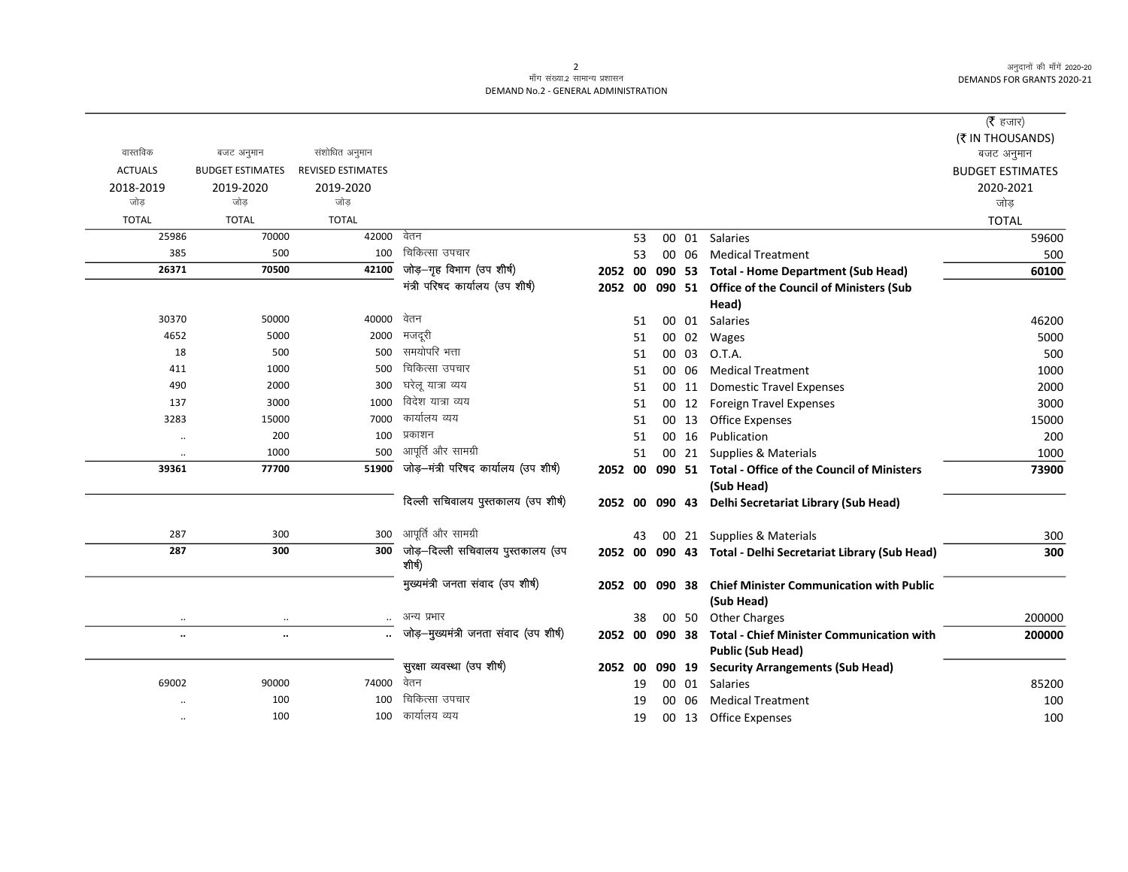# .<br>माँग संख्या.2 सामान्य प्रशासन DEMAND No.2 - GENERAL ADMINISTRATION

|                      |                         |                          |                                            |         |    |        |       |                                                               | (रै हजार)               |
|----------------------|-------------------------|--------------------------|--------------------------------------------|---------|----|--------|-------|---------------------------------------------------------------|-------------------------|
|                      |                         |                          |                                            |         |    |        |       |                                                               | (₹ IN THOUSANDS)        |
| वास्तविक             | बजट अनुमान              | संशोधित अनुमान           |                                            |         |    |        |       |                                                               | बजट अनुमान              |
| <b>ACTUALS</b>       | <b>BUDGET ESTIMATES</b> | <b>REVISED ESTIMATES</b> |                                            |         |    |        |       |                                                               | <b>BUDGET ESTIMATES</b> |
| 2018-2019            | 2019-2020               | 2019-2020                |                                            |         |    |        |       |                                                               | 2020-2021               |
| जोड                  | जोड                     | जोड                      |                                            |         |    |        |       |                                                               | जोड़                    |
| <b>TOTAL</b>         | <b>TOTAL</b>            | <b>TOTAL</b>             |                                            |         |    |        |       |                                                               | <b>TOTAL</b>            |
| 25986                | 70000                   | 42000                    | वेतन                                       |         | 53 |        |       | 00 01 Salaries                                                | 59600                   |
| 385                  | 500                     | 100                      | चिकित्सा उपचार                             |         | 53 |        | 00 06 | <b>Medical Treatment</b>                                      | 500                     |
| 26371                | 70500                   | 42100                    | जोड़-गृह विभाग (उप शीर्ष)                  | 2052 00 |    | 090 53 |       | <b>Total - Home Department (Sub Head)</b>                     | 60100                   |
|                      |                         |                          | मंत्री परिषद कार्यालय (उप शीर्ष)           | 2052 00 |    | 090 51 |       | <b>Office of the Council of Ministers (Sub</b>                |                         |
|                      |                         |                          |                                            |         |    |        |       | Head)                                                         |                         |
| 30370                | 50000                   | 40000                    | वेतन                                       |         | 51 |        | 00 01 | Salaries                                                      | 46200                   |
| 4652                 | 5000                    | 2000                     | मजदूरी<br>समयोपरि भत्ता                    |         | 51 |        | 00 02 | Wages                                                         | 5000                    |
| 18                   | 500                     | 500                      | चिकित्सा उपचार                             |         | 51 | 00     | 03    | O.T.A.                                                        | 500                     |
| 411                  | 1000                    | 500                      |                                            |         | 51 |        | 00 06 | <b>Medical Treatment</b>                                      | 1000                    |
| 490                  | 2000                    | 300                      | घरेलू यात्रा व्यय<br>विदेश यात्रा व्यय     |         | 51 |        | 00 11 | <b>Domestic Travel Expenses</b>                               | 2000                    |
| 137                  | 3000                    | 1000                     | कार्यालय व्यय                              |         | 51 |        |       | 00 12 Foreign Travel Expenses                                 | 3000                    |
| 3283                 | 15000<br>200            | 7000                     | प्रकाशन                                    |         | 51 |        | 00 13 | <b>Office Expenses</b>                                        | 15000                   |
| $\cdot\cdot$         | 1000                    | 100<br>500               | आपूर्ति और सामग्री                         |         | 51 |        | 00 16 | Publication                                                   | 200                     |
| $\ddotsc$<br>39361   | 77700                   | 51900                    | जोड़-मंत्री परिषद कार्यालय (उप शीर्ष)      |         | 51 |        |       | 00 21 Supplies & Materials                                    | 1000                    |
|                      |                         |                          |                                            |         |    |        |       | 2052 00 090 51 Total - Office of the Council of Ministers     | 73900                   |
|                      |                         |                          | दिल्ली सचिवालय पुस्तकालय (उप शीर्ष)        |         |    |        |       | (Sub Head)                                                    |                         |
|                      |                         |                          |                                            |         |    |        |       | 2052 00 090 43 Delhi Secretariat Library (Sub Head)           |                         |
| 287                  | 300                     | 300                      | आपूर्ति और सामग्री                         |         | 43 |        |       | 00 21 Supplies & Materials                                    | 300                     |
| 287                  | 300                     | 300                      | जोड़—दिल्ली सचिवालय पुस्तकालय (उप<br>शीषी) |         |    |        |       | 2052 00 090 43 Total - Delhi Secretariat Library (Sub Head)   | 300                     |
|                      |                         |                          | मुख्यमंत्री जनता संवाद (उप शीर्ष)          | 2052 00 |    | 090 38 |       | <b>Chief Minister Communication with Public</b><br>(Sub Head) |                         |
| $\cdot\cdot$         |                         |                          | अन्य प्रभार                                |         | 38 |        | 00 50 | <b>Other Charges</b>                                          | 200000                  |
| $\ddot{\phantom{0}}$ | $\ddot{\phantom{a}}$    |                          | जोड़-मुख्यमंत्री जनता संवाद (उप शीर्ष)     | 2052 00 |    | 090 38 |       | <b>Total - Chief Minister Communication with</b>              | 200000                  |
|                      |                         |                          |                                            |         |    |        |       | <b>Public (Sub Head)</b>                                      |                         |
|                      |                         |                          | सुरक्षा व्यवस्था (उप शीर्ष)                | 2052 00 |    | 090 19 |       | <b>Security Arrangements (Sub Head)</b>                       |                         |
| 69002                | 90000                   | 74000                    | वेतन                                       |         | 19 |        | 00 01 | <b>Salaries</b>                                               | 85200                   |
|                      | 100                     | 100                      | चिकित्सा उपचार                             |         | 19 |        | 00 06 | <b>Medical Treatment</b>                                      | 100                     |
| $\ddotsc$            | 100                     |                          | 100 कार्यालय व्यय                          |         | 19 |        |       | 00 13 Office Expenses                                         | 100                     |

# $\overline{2}$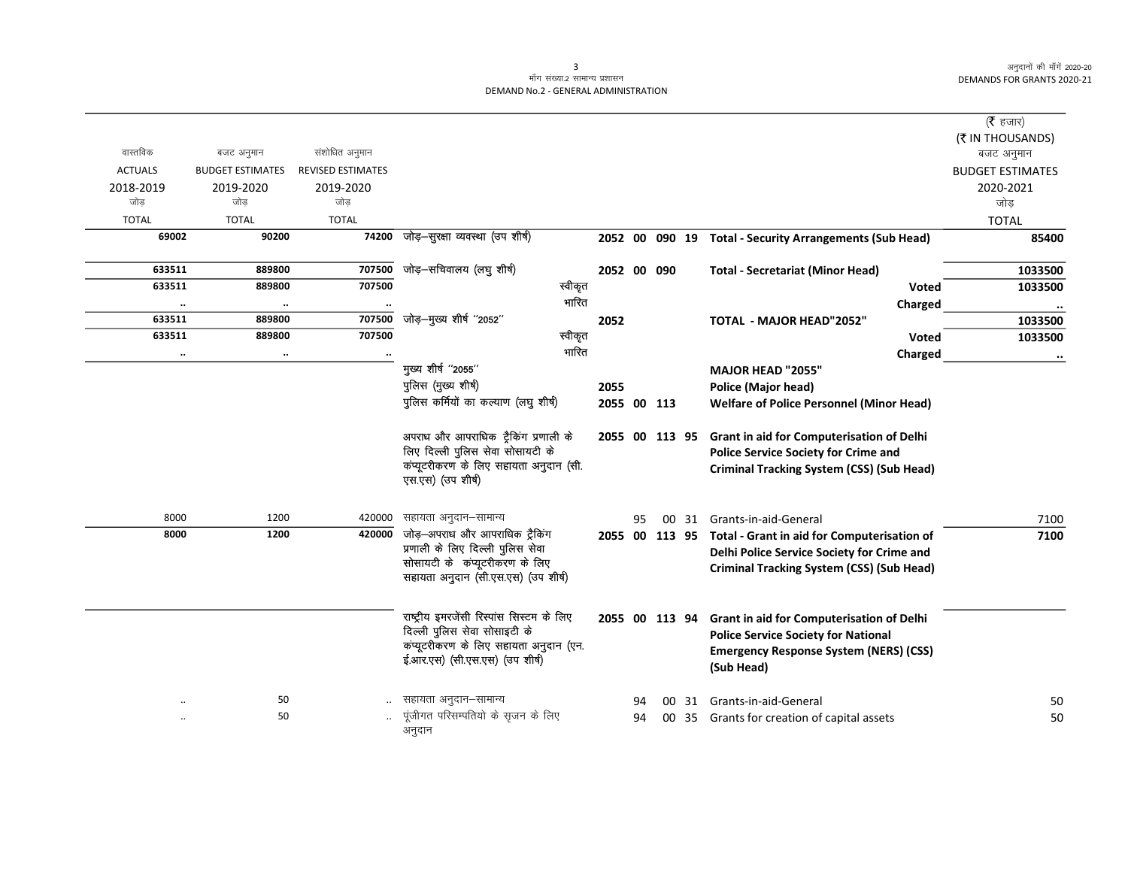## माँग संख्या.2 सामान्य प्रशासन DEMAND No.2 - GENERAL ADMINISTRATION

|                        |                         |                          |                                                                    |         |                |    |  |                                                            | ( $\bar{\tau}$ हजार)    |
|------------------------|-------------------------|--------------------------|--------------------------------------------------------------------|---------|----------------|----|--|------------------------------------------------------------|-------------------------|
|                        |                         |                          |                                                                    |         |                |    |  |                                                            | (₹ IN THOUSANDS)        |
| वास्तविक               | बजट अनुमान              | संशोधित अनुमान           |                                                                    |         |                |    |  |                                                            | बजट अनुमान              |
| <b>ACTUALS</b>         | <b>BUDGET ESTIMATES</b> | <b>REVISED ESTIMATES</b> |                                                                    |         |                |    |  |                                                            | <b>BUDGET ESTIMATES</b> |
| 2018-2019              | 2019-2020               | 2019-2020                |                                                                    |         |                |    |  |                                                            | 2020-2021               |
| जोड                    | जोड                     | जोड                      |                                                                    |         |                |    |  |                                                            | जोड़                    |
| <b>TOTAL</b>           | <b>TOTAL</b>            | <b>TOTAL</b>             |                                                                    |         |                |    |  |                                                            | <b>TOTAL</b>            |
| 69002                  | 90200                   | 74200                    | जोड़-सुरक्षा व्यवस्था (उप शीर्ष)                                   |         |                |    |  | 2052 00 090 19 Total - Security Arrangements (Sub Head)    | 85400                   |
| 633511                 | 889800                  | 707500                   | जोड़-सचिवालय (लघु शीर्ष)                                           |         | 2052 00 090    |    |  | <b>Total - Secretariat (Minor Head)</b>                    | 1033500                 |
| 633511                 | 889800                  | 707500                   |                                                                    | स्वीकृत |                |    |  | <b>Voted</b>                                               | 1033500                 |
|                        |                         |                          |                                                                    | भारित   |                |    |  | Charged                                                    |                         |
| $\cdot\cdot$<br>633511 | $\cdot\cdot$<br>889800  | 707500                   | जोड़-मुख्य शीर्ष "2052"                                            |         | 2052           |    |  | <b>TOTAL - MAJOR HEAD"2052"</b>                            | 1033500                 |
| 633511                 | 889800                  | 707500                   |                                                                    | स्वीकृत |                |    |  | <b>Voted</b>                                               | 1033500                 |
| $\ddotsc$              | $\cdot\cdot$            |                          |                                                                    | भारित   |                |    |  | Charged                                                    |                         |
|                        |                         |                          | मुख्य शीर्ष "2055"                                                 |         |                |    |  | MAJOR HEAD "2055"                                          |                         |
|                        |                         |                          | पुलिस (मुख्य शीर्ष)                                                |         | 2055           |    |  | <b>Police (Major head)</b>                                 |                         |
|                        |                         |                          | पुलिस कर्मियों का कल्याण (लघु शीर्ष)                               |         | 2055 00 113    |    |  | <b>Welfare of Police Personnel (Minor Head)</b>            |                         |
|                        |                         |                          |                                                                    |         |                |    |  |                                                            |                         |
|                        |                         |                          | अपराध और आपराधिक ट्रैकिंग प्रणाली के                               |         | 2055 00 113 95 |    |  | Grant in aid for Computerisation of Delhi                  |                         |
|                        |                         |                          | लिए दिल्ली पुलिस सेवा सोसायटी के                                   |         |                |    |  | <b>Police Service Society for Crime and</b>                |                         |
|                        |                         |                          | कंप्यूटरीकरण के लिए सहायता अनुदान (सी.                             |         |                |    |  | <b>Criminal Tracking System (CSS) (Sub Head)</b>           |                         |
|                        |                         |                          | एस.एस) (उप शीर्ष)                                                  |         |                |    |  |                                                            |                         |
|                        |                         |                          |                                                                    |         |                |    |  |                                                            |                         |
| 8000                   | 1200                    | 420000                   | सहायता अनुदान–सामान्य                                              |         |                | 95 |  | 00 31 Grants-in-aid-General                                | 7100                    |
| 8000                   | 1200                    | 420000                   | जोड़-अपराध और आपराधिक ट्रैकिंग<br>प्रणाली के लिए दिल्ली पुलिस सेवा |         |                |    |  | 2055 00 113 95 Total - Grant in aid for Computerisation of | 7100                    |
|                        |                         |                          | सोसायटी के कंप्यूटरीकरण के लिए                                     |         |                |    |  | Delhi Police Service Society for Crime and                 |                         |
|                        |                         |                          | सहायता अनुदान (सी.एस.एस) (उप शीर्ष)                                |         |                |    |  | <b>Criminal Tracking System (CSS) (Sub Head)</b>           |                         |
|                        |                         |                          |                                                                    |         |                |    |  |                                                            |                         |
|                        |                         |                          | राष्ट्रीय इमरजेंसी रिस्पांस सिस्टम के लिए                          |         | 2055 00 113 94 |    |  | Grant in aid for Computerisation of Delhi                  |                         |
|                        |                         |                          | दिल्ली पुलिस सेवा सोसाइटी के                                       |         |                |    |  | <b>Police Service Society for National</b>                 |                         |
|                        |                         |                          | कंप्यूटरीकरण के लिए सहायता अनुदान (एन.                             |         |                |    |  | <b>Emergency Response System (NERS) (CSS)</b>              |                         |
|                        |                         |                          | ई.आर.एस) (सी.एस.एस) (उप शीर्ष)                                     |         |                |    |  | (Sub Head)                                                 |                         |
|                        |                         |                          |                                                                    |         |                |    |  |                                                            |                         |
|                        | 50                      |                          | सहायता अनुदान–सामान्य                                              |         |                | 94 |  | 00 31 Grants-in-aid-General                                | 50                      |
|                        | 50                      |                          | पूंजीगत परिसम्पतियो के सृजन के लिए                                 |         |                | 94 |  | 00 35 Grants for creation of capital assets                | 50                      |
|                        |                         |                          | अनुदान                                                             |         |                |    |  |                                                            |                         |

3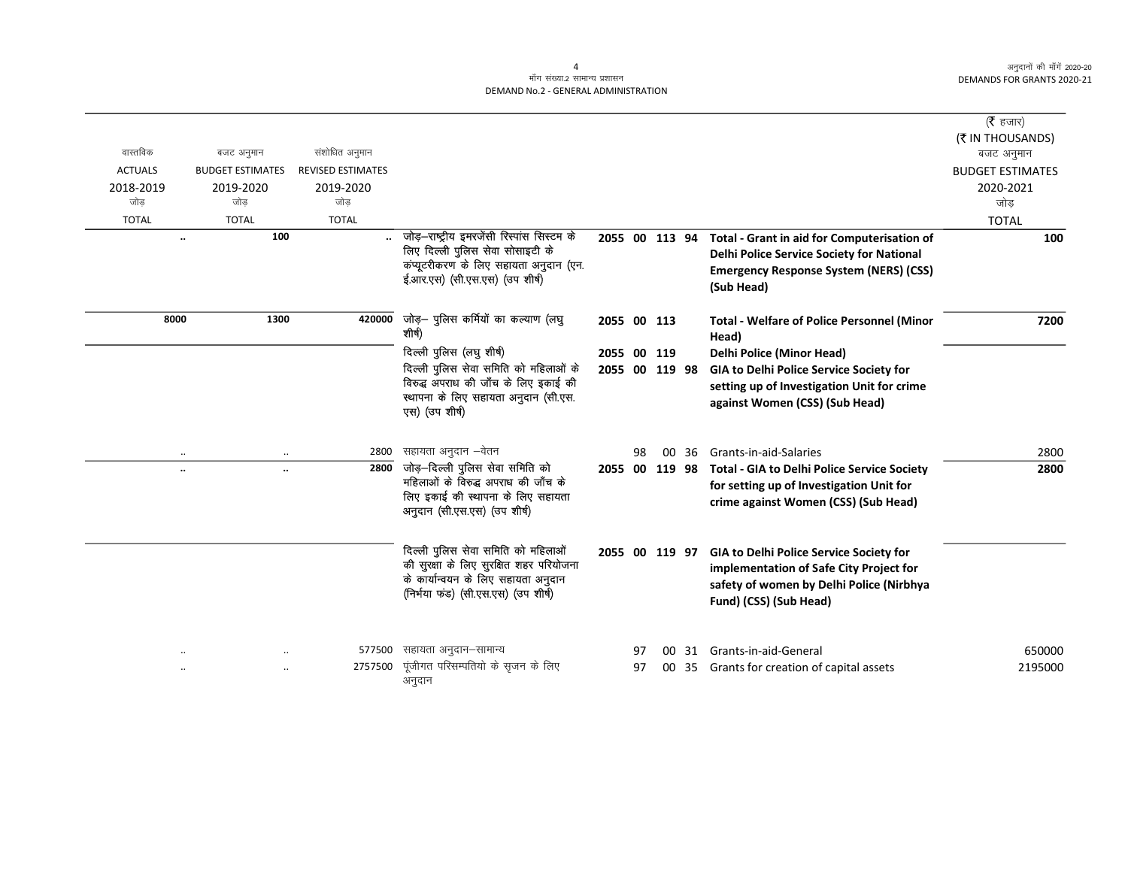## माँग संख्या.2 सामान्य प्रशासन DEMAND No.2 - GENERAL ADMINISTRATION

| ( $\bar{\tau}$ हजार)    |                                                            |       |    |                |                                                                          |                          |                         |                |
|-------------------------|------------------------------------------------------------|-------|----|----------------|--------------------------------------------------------------------------|--------------------------|-------------------------|----------------|
| (₹ IN THOUSANDS)        |                                                            |       |    |                |                                                                          |                          |                         |                |
| बजट अनुमान              |                                                            |       |    |                |                                                                          | संशोधित अनुमान           | बजट अनुमान              | वास्तविक       |
| <b>BUDGET ESTIMATES</b> |                                                            |       |    |                |                                                                          | <b>REVISED ESTIMATES</b> | <b>BUDGET ESTIMATES</b> | <b>ACTUALS</b> |
| 2020-2021               |                                                            |       |    |                |                                                                          | 2019-2020                | 2019-2020               | 2018-2019      |
| जोड                     |                                                            |       |    |                |                                                                          | जोड                      | जोड                     | जोड            |
| <b>TOTAL</b>            |                                                            |       |    |                |                                                                          | <b>TOTAL</b>             | <b>TOTAL</b>            | <b>TOTAL</b>   |
| 100                     | Total - Grant in aid for Computerisation of                |       |    | 2055 00 113 94 | जोड़–राष्ट्रीय इमरजेंसी रिस्पांस सिस्टम के                               |                          | 100                     | $\ddotsc$      |
|                         | Delhi Police Service Society for National                  |       |    |                | लिए दिल्ली पुलिस सेवा सोसाइटी के                                         |                          |                         |                |
|                         | <b>Emergency Response System (NERS) (CSS)</b>              |       |    |                | कंप्यूटरीकरण के लिए सहायता अनुदान (एन.<br>ई.आर.एस) (सी.एस.एस) (उप शीर्ष) |                          |                         |                |
|                         | (Sub Head)                                                 |       |    |                |                                                                          |                          |                         |                |
|                         |                                                            |       |    |                |                                                                          |                          |                         |                |
| 7200                    | <b>Total - Welfare of Police Personnel (Minor</b><br>Head) |       |    | 2055 00 113    | जोड़— पुलिस कर्मियों का कल्याण (लघु<br>शीर्ष)                            | 420000                   | 1300                    | 8000           |
|                         | <b>Delhi Police (Minor Head)</b>                           |       |    | 2055 00 119    | दिल्ली पुलिस (लघु शीर्ष)                                                 |                          |                         |                |
|                         | GIA to Delhi Police Service Society for                    |       |    | 2055 00 119 98 | दिल्ली पुलिस सेवा समिति को महिलाओं के                                    |                          |                         |                |
|                         | setting up of Investigation Unit for crime                 |       |    |                | विरुद्ध अपराध की जाँच के लिए इकाई की                                     |                          |                         |                |
|                         | against Women (CSS) (Sub Head)                             |       |    |                | स्थापना के लिए सहायता अनुदान (सी.एस.                                     |                          |                         |                |
|                         |                                                            |       |    |                | एस) (उप शीर्ष)                                                           |                          |                         |                |
|                         |                                                            |       |    |                | सहायता अनुदान –वेतन                                                      |                          |                         |                |
| 2800                    | Grants-in-aid-Salaries                                     | 00 36 | 98 |                | जोड़–दिल्ली पुलिस सेवा समिति को                                          | 2800                     | $\cdot\cdot$            | $\ddotsc$      |
| 2800                    | <b>Total - GIA to Delhi Police Service Society</b>         |       |    | 2055 00 119 98 | महिलाओं के विरुद्ध अपराध की जाँच के                                      | 2800                     | $\ddotsc$               | $\ldots$       |
|                         | for setting up of Investigation Unit for                   |       |    |                | लिए इकाई की स्थापना के लिए सहायता                                        |                          |                         |                |
|                         | crime against Women (CSS) (Sub Head)                       |       |    |                | अनुदान (सी.एस.एस) (उप शीर्ष)                                             |                          |                         |                |
|                         |                                                            |       |    |                |                                                                          |                          |                         |                |
|                         | <b>GIA to Delhi Police Service Society for</b>             |       |    | 2055 00 119 97 | दिल्ली पुलिस सेवा समिति को महिलाओं                                       |                          |                         |                |
|                         | implementation of Safe City Project for                    |       |    |                | की सुरक्षा के लिए सुरक्षित शहर परियोजना                                  |                          |                         |                |
|                         | safety of women by Delhi Police (Nirbhya                   |       |    |                | के कार्यान्वयन के लिए सहायता अनुदान                                      |                          |                         |                |
|                         | Fund) (CSS) (Sub Head)                                     |       |    |                | (निर्भया फंड) (सी.एस.एस) (उप शीर्ष)                                      |                          |                         |                |
|                         |                                                            |       |    |                |                                                                          |                          |                         |                |
|                         |                                                            |       |    |                |                                                                          |                          |                         |                |
| 650000                  | 00 31 Grants-in-aid-General                                |       | 97 |                | सहायता अनुदान–सामान्य                                                    | 577500                   |                         |                |
| 2195000                 | 00 35 Grants for creation of capital assets                |       | 97 |                | पूंजीगत परिसम्पतियो के सृजन के लिए                                       | 2757500                  |                         |                |
|                         |                                                            |       |    |                | अनुदान                                                                   |                          |                         |                |
|                         |                                                            |       |    |                |                                                                          |                          |                         |                |

 $\overline{4}$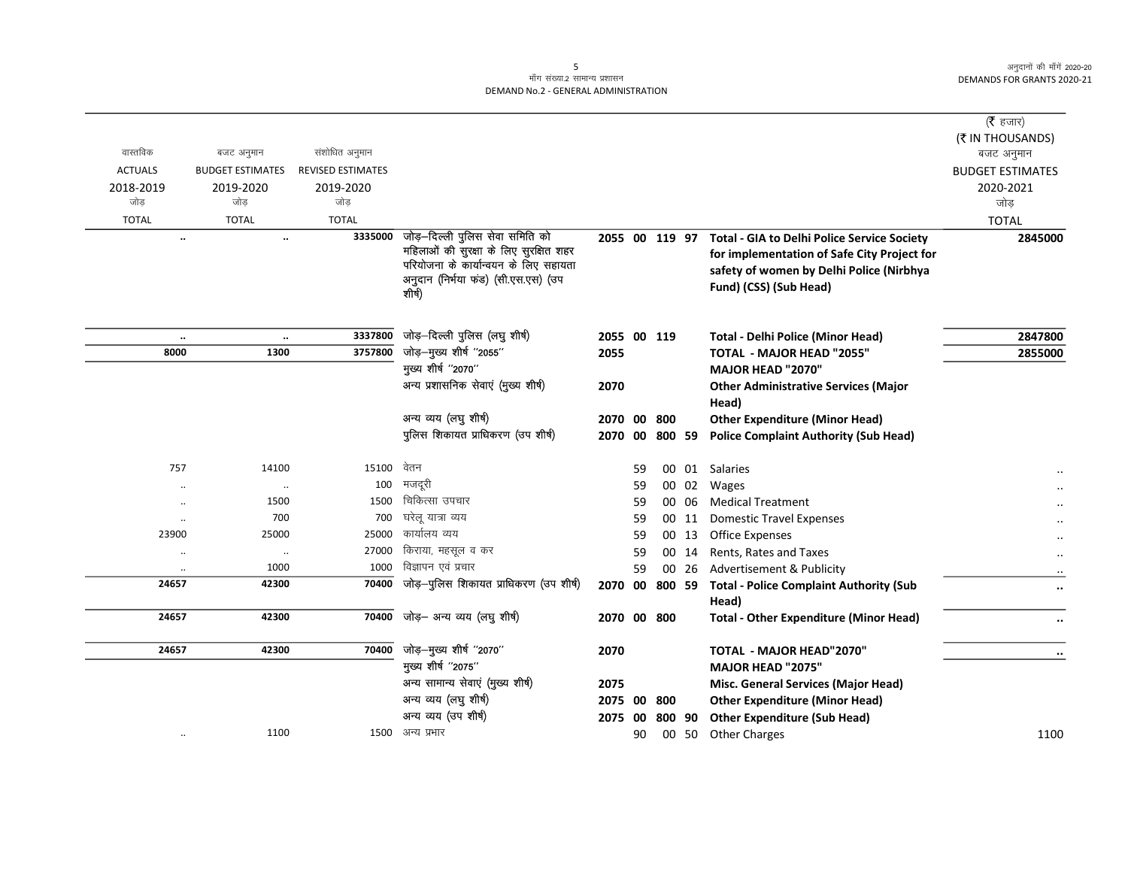# .<br>माँग संख्या.2 सामान्य प्रशासन DEMAND No.2 - GENERAL ADMINISTRATION

|                |                                      |                          |                                                                             |                |    |           |       |                                                    | ( $\bar{\tau}$ हजार)           |
|----------------|--------------------------------------|--------------------------|-----------------------------------------------------------------------------|----------------|----|-----------|-------|----------------------------------------------------|--------------------------------|
| वास्तविक       | बजट अनुमान                           | संशोधित अनुमान           |                                                                             |                |    |           |       |                                                    | (₹ IN THOUSANDS)<br>बजट अनुमान |
| <b>ACTUALS</b> | <b>BUDGET ESTIMATES</b>              | <b>REVISED ESTIMATES</b> |                                                                             |                |    |           |       |                                                    | <b>BUDGET ESTIMATES</b>        |
| 2018-2019      | 2019-2020                            | 2019-2020                |                                                                             |                |    |           |       |                                                    | 2020-2021                      |
| जोड            | जोड                                  | जोड                      |                                                                             |                |    |           |       |                                                    | जोड़                           |
| <b>TOTAL</b>   | <b>TOTAL</b>                         | <b>TOTAL</b>             |                                                                             |                |    |           |       |                                                    | <b>TOTAL</b>                   |
|                | $\ddotsc$<br>$\ddotsc$               | 3335000                  | जोड़–दिल्ली पुलिस सेवा समिति को                                             | 2055 00 119 97 |    |           |       | <b>Total - GIA to Delhi Police Service Society</b> | 2845000                        |
|                |                                      |                          | महिलाओं की सुरक्षा के लिए सुरक्षित शहर                                      |                |    |           |       | for implementation of Safe City Project for        |                                |
|                |                                      |                          | परियोजना के कार्यान्वयन के लिए सहायता<br>अनुदान (निर्भया फड) (सी.एस.एस) (उप |                |    |           |       | safety of women by Delhi Police (Nirbhya           |                                |
|                |                                      |                          | शीर्ष)                                                                      |                |    |           |       | Fund) (CSS) (Sub Head)                             |                                |
|                |                                      |                          |                                                                             |                |    |           |       |                                                    |                                |
|                | $\cdot\cdot$<br>$\cdot\cdot$         | 3337800                  | जोड़-दिल्ली पुलिस (लघु शीर्ष)                                               | 2055 00 119    |    |           |       | <b>Total - Delhi Police (Minor Head)</b>           | 2847800                        |
| 8000           | 1300                                 | 3757800                  | जोड़-मुख्य शीर्ष "2055"                                                     | 2055           |    |           |       | TOTAL - MAJOR HEAD "2055"                          | 2855000                        |
|                |                                      |                          | मुख्य शीर्ष "2070"                                                          |                |    |           |       | <b>MAJOR HEAD "2070"</b>                           |                                |
|                |                                      |                          | अन्य प्रशासनिक सेवाएं (मुख्य शीर्ष)                                         | 2070           |    |           |       | <b>Other Administrative Services (Major</b>        |                                |
|                |                                      |                          |                                                                             |                |    |           |       | Head)                                              |                                |
|                |                                      |                          | अन्य व्यय (लघु शीर्ष)                                                       | 2070 00        |    | 800       |       | <b>Other Expenditure (Minor Head)</b>              |                                |
|                |                                      |                          | पुलिस शिकायत प्राधिकरण (उप शीर्ष)                                           | 2070           |    | 00 800 59 |       | <b>Police Complaint Authority (Sub Head)</b>       |                                |
| 757            | 14100                                | 15100                    | वेतन                                                                        |                | 59 |           |       | 00 01 Salaries                                     |                                |
|                | $\cdot\cdot$                         | 100                      | मजदूरी                                                                      |                | 59 |           | 00 02 | <b>Wages</b>                                       |                                |
|                | 1500<br>                             | 1500                     | चिकित्सा उपचार                                                              |                | 59 |           | 00 06 | <b>Medical Treatment</b>                           |                                |
|                | 700<br>$\ddot{\phantom{0}}$          | 700                      | घरेलू यात्रा व्यय                                                           |                | 59 |           | 00 11 | <b>Domestic Travel Expenses</b>                    |                                |
| 23900          | 25000                                | 25000                    | कार्यालय व्यय                                                               |                | 59 |           | 00 13 | <b>Office Expenses</b>                             |                                |
|                | $\cdot\cdot$<br>$\ddot{\phantom{0}}$ | 27000                    | किराया, महसूल व कर                                                          |                | 59 |           | 00 14 | Rents, Rates and Taxes                             |                                |
|                | 1000<br>$\cdot\cdot$                 | 1000                     | विज्ञापन एवं प्रचार                                                         |                | 59 |           | 00 26 | Advertisement & Publicity                          |                                |
| 24657          | 42300                                | 70400                    | जोड़-पुलिस शिकायत प्राधिकरण (उप शीर्ष)                                      | 2070           |    | 00 800 59 |       | <b>Total - Police Complaint Authority (Sub</b>     | $\ddot{\phantom{0}}$           |
|                |                                      |                          |                                                                             |                |    |           |       | Head)                                              |                                |
| 24657          | 42300                                | 70400                    | जोड़— अन्य व्यय (लघु शीर्ष)                                                 | 2070 00 800    |    |           |       | <b>Total - Other Expenditure (Minor Head)</b>      | $\ddotsc$                      |
| 24657          | 42300                                | 70400                    | जोड़-मुख्य शीर्ष "2070"                                                     | 2070           |    |           |       | TOTAL - MAJOR HEAD"2070"                           |                                |
|                |                                      |                          | मुख्य शीर्ष "2075"                                                          |                |    |           |       | MAJOR HEAD "2075"                                  |                                |
|                |                                      |                          | अन्य सामान्य सेवाएं (मुख्य शीर्ष)                                           | 2075           |    |           |       | Misc. General Services (Major Head)                |                                |
|                |                                      |                          | अन्य व्यय (लघु शीर्ष)                                                       | 2075 00        |    | 800       |       | <b>Other Expenditure (Minor Head)</b>              |                                |
|                |                                      |                          | अन्य व्यय (उप शीर्ष)                                                        | 2075 00        |    | 800 90    |       | <b>Other Expenditure (Sub Head)</b>                |                                |
|                | 1100<br>$\cdot\cdot$                 |                          | 1500 अन्य प्रभार                                                            |                | 90 |           | 00 50 | <b>Other Charges</b>                               | 1100                           |
|                |                                      |                          |                                                                             |                |    |           |       |                                                    |                                |

 $5\overline{)}$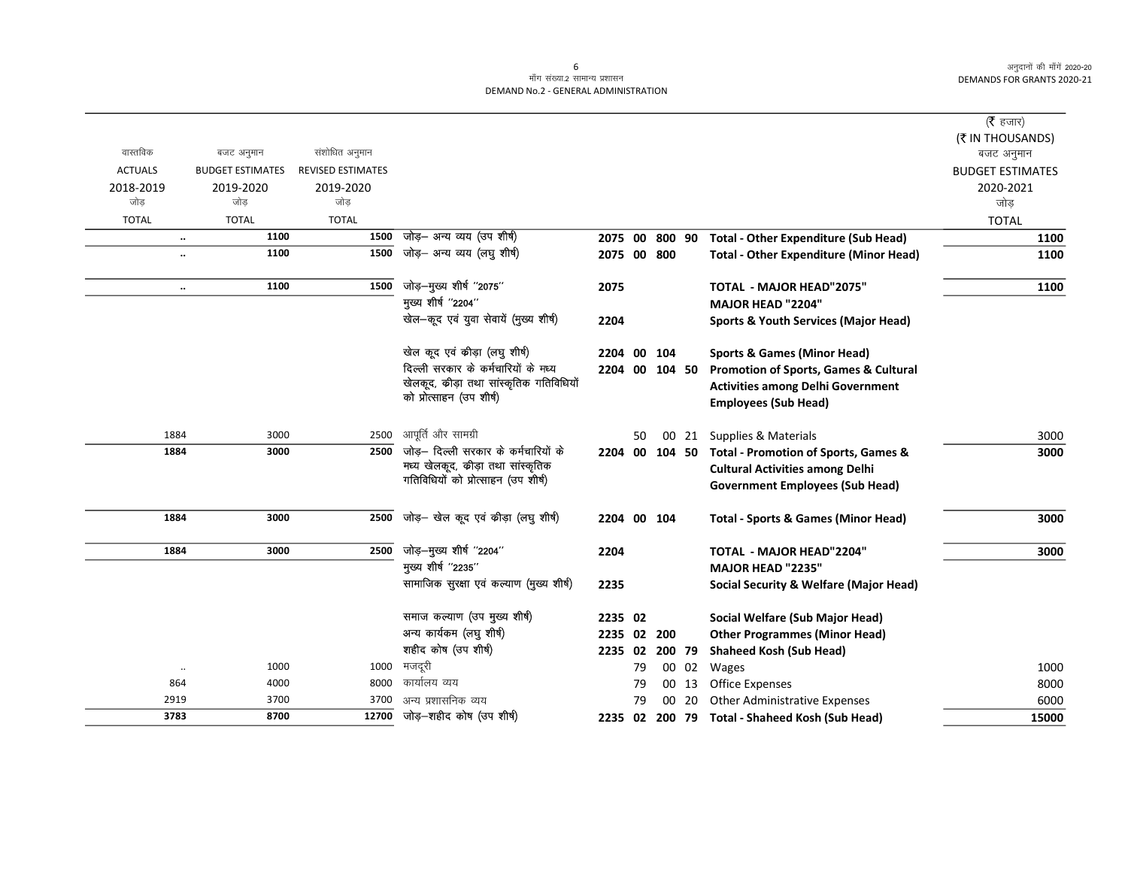# माँग संख्या.2 सामान्य प्रशासन DEMAND No.2 - GENERAL ADMINISTRATION

|                  |                         |                          |                                                                          |                    |    |               |       |                                                   | (रै हजार)               |
|------------------|-------------------------|--------------------------|--------------------------------------------------------------------------|--------------------|----|---------------|-------|---------------------------------------------------|-------------------------|
|                  |                         |                          |                                                                          |                    |    |               |       |                                                   | (₹ IN THOUSANDS)        |
| वास्तविक         | बजट अनुमान              | संशोधित अनुमान           |                                                                          |                    |    |               |       |                                                   | बजट अनुमान              |
| <b>ACTUALS</b>   | <b>BUDGET ESTIMATES</b> | <b>REVISED ESTIMATES</b> |                                                                          |                    |    |               |       |                                                   | <b>BUDGET ESTIMATES</b> |
| 2018-2019<br>जोड | 2019-2020<br>जोड        | 2019-2020<br>जोड         |                                                                          |                    |    |               |       |                                                   | 2020-2021               |
|                  |                         |                          |                                                                          |                    |    |               |       |                                                   | जोड                     |
| <b>TOTAL</b>     | <b>TOTAL</b><br>1100    | <b>TOTAL</b><br>1500     | जोड़– अन्य व्यय (उप शीर्ष)                                               |                    |    |               |       |                                                   | <b>TOTAL</b>            |
| $\ddotsc$        | 1100                    | 1500                     | जोड़— अन्य व्यय (लघु शीर्ष)                                              | 2075 00<br>2075 00 |    | 800 90<br>800 |       | <b>Total - Other Expenditure (Sub Head)</b>       | 1100                    |
| $\ddotsc$        |                         |                          |                                                                          |                    |    |               |       | <b>Total - Other Expenditure (Minor Head)</b>     | 1100                    |
| $\ddotsc$        | 1100                    | 1500                     | जोड़—मुख्य शीर्ष "2075"                                                  | 2075               |    |               |       | TOTAL - MAJOR HEAD"2075"                          | 1100                    |
|                  |                         |                          | मुख्य शीर्ष "2204"                                                       |                    |    |               |       | <b>MAJOR HEAD "2204"</b>                          |                         |
|                  |                         |                          | खेल-कूद एवं युवा सेवायें (मुख्य शीर्ष)                                   | 2204               |    |               |       | <b>Sports &amp; Youth Services (Major Head)</b>   |                         |
|                  |                         |                          | खेल कूद एवं कीड़ा (लघु शीषे)                                             | 2204 00            |    | 104           |       | <b>Sports &amp; Games (Minor Head)</b>            |                         |
|                  |                         |                          | दिल्ली सरकार के कर्मचारियों के मध्य                                      | 2204 00            |    | 104 50        |       | Promotion of Sports, Games & Cultural             |                         |
|                  |                         |                          | खेलकूद, कीड़ा तथा सांस्कृतिक गतिविधियों                                  |                    |    |               |       | <b>Activities among Delhi Government</b>          |                         |
|                  |                         |                          | को प्रोत्साहन (उप शीर्ष)                                                 |                    |    |               |       | <b>Employees (Sub Head)</b>                       |                         |
|                  |                         |                          |                                                                          |                    |    |               |       |                                                   |                         |
| 1884             | 3000                    | 2500                     | आपूर्ति और सामग्री                                                       |                    | 50 |               | 00 21 | Supplies & Materials                              | 3000                    |
| 1884             | 3000                    | 2500                     | जोड़– दिल्ली सरकार के कर्मचारियों के                                     | 2204 00            |    | 104 50        |       | Total - Promotion of Sports, Games &              | 3000                    |
|                  |                         |                          | मध्य खेलकूद, कीड़ा तथा सांस्कृतिक<br>गतिविधियों को प्रोत्साहन (उप शीर्ष) |                    |    |               |       | <b>Cultural Activities among Delhi</b>            |                         |
|                  |                         |                          |                                                                          |                    |    |               |       | <b>Government Employees (Sub Head)</b>            |                         |
| 1884             | 3000                    | 2500                     | जोड़– खेल कूद एवं कीड़ा (लघु शीषे)                                       | 2204 00 104        |    |               |       | <b>Total - Sports &amp; Games (Minor Head)</b>    | 3000                    |
|                  |                         |                          |                                                                          |                    |    |               |       |                                                   |                         |
| 1884             | 3000                    | 2500                     | जोड़-मुख्य शीर्ष "2204"                                                  | 2204               |    |               |       | <b>TOTAL - MAJOR HEAD"2204"</b>                   | 3000                    |
|                  |                         |                          | मुख्य शीर्ष "2235"                                                       |                    |    |               |       | <b>MAJOR HEAD "2235"</b>                          |                         |
|                  |                         |                          | सामाजिक सुरक्षा एवं कल्याण (मुख्य शीर्ष)                                 | 2235               |    |               |       | <b>Social Security &amp; Welfare (Major Head)</b> |                         |
|                  |                         |                          | समाज कल्याण (उप मुख्य शीर्ष)                                             | 2235 02            |    |               |       | Social Welfare (Sub Major Head)                   |                         |
|                  |                         |                          | अन्य कार्यकम (लघु शीर्ष)                                                 | 2235 02 200        |    |               |       | <b>Other Programmes (Minor Head)</b>              |                         |
|                  |                         |                          | शहीद कोष (उप शीर्ष)                                                      | 2235 02            |    | 200 79        |       | <b>Shaheed Kosh (Sub Head)</b>                    |                         |
| $\cdot\cdot$     | 1000                    | 1000                     | मजदूरी                                                                   |                    | 79 |               | 00 02 | Wages                                             | 1000                    |
| 864              | 4000                    | 8000                     | कार्यालय व्यय                                                            |                    | 79 |               | 00 13 | Office Expenses                                   | 8000                    |
| 2919             | 3700                    | 3700                     | अन्य प्रशासनिक व्यय                                                      |                    | 79 | 00            | 20    | Other Administrative Expenses                     | 6000                    |
| 3783             | 8700                    | 12700                    | जोड़—शहीद कोष (उप शीर्ष)                                                 |                    |    |               |       | 2235 02 200 79 Total - Shaheed Kosh (Sub Head)    | 15000                   |

 $\sqrt{6}$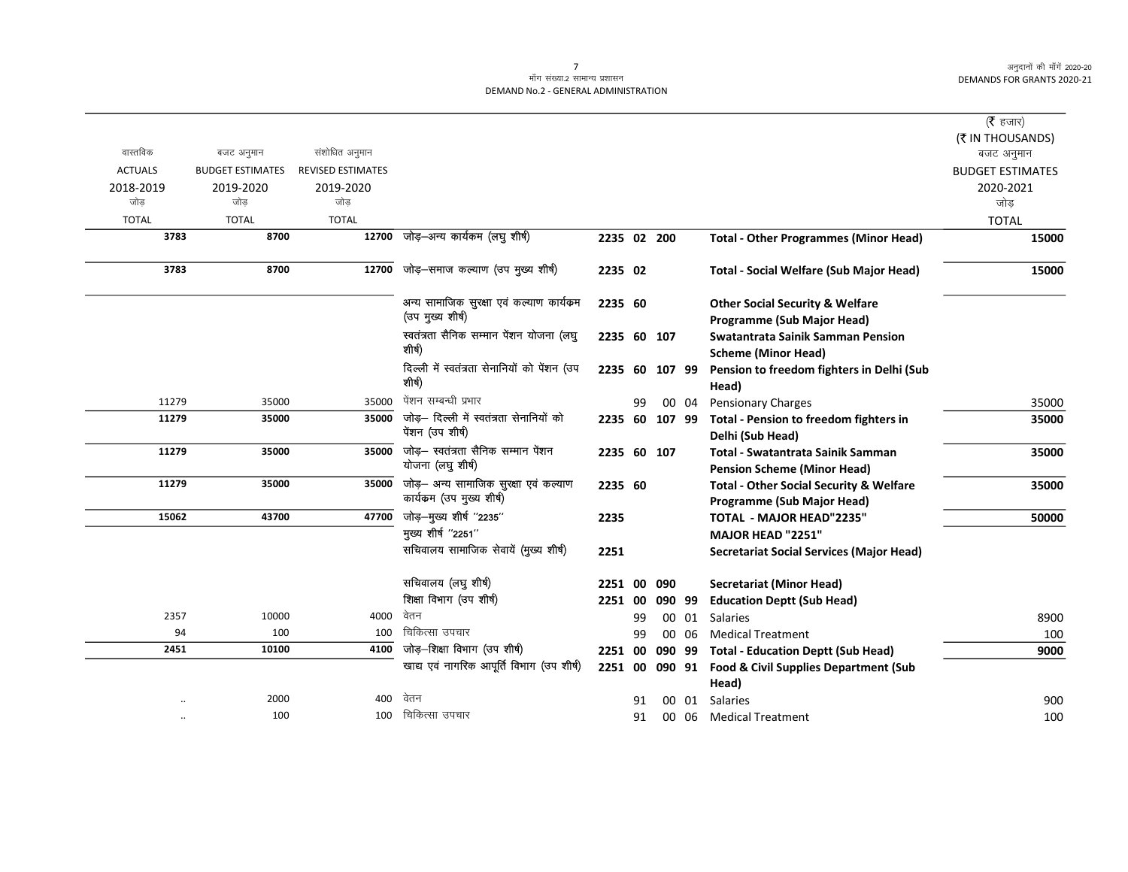#### .<br>माँग संख्या.2 सामान्य प्रशासन DEMAND No.2 - GENERAL ADMINISTRATION

|                |                         |                          |                                                                   |             |      |        |       |                                                                                  | (रै हजार)                      |
|----------------|-------------------------|--------------------------|-------------------------------------------------------------------|-------------|------|--------|-------|----------------------------------------------------------------------------------|--------------------------------|
| वास्तविक       | बजट अनुमान              | संशोधित अनुमान           |                                                                   |             |      |        |       |                                                                                  | (₹ IN THOUSANDS)<br>बजट अनुमान |
| <b>ACTUALS</b> | <b>BUDGET ESTIMATES</b> | <b>REVISED ESTIMATES</b> |                                                                   |             |      |        |       |                                                                                  | <b>BUDGET ESTIMATES</b>        |
| 2018-2019      | 2019-2020               | 2019-2020                |                                                                   |             |      |        |       |                                                                                  | 2020-2021                      |
| जोड            | जोड                     | जोड                      |                                                                   |             |      |        |       |                                                                                  | जोड                            |
| <b>TOTAL</b>   | <b>TOTAL</b>            | <b>TOTAL</b>             |                                                                   |             |      |        |       |                                                                                  | <b>TOTAL</b>                   |
| 3783           | 8700                    | 12700                    | जोड़-अन्य कार्यकम (लघु शीर्ष)                                     | 2235 02 200 |      |        |       | <b>Total - Other Programmes (Minor Head)</b>                                     | 15000                          |
| 3783           | 8700                    | 12700                    | जोड़-समाज कल्याण (उप मुख्य शीर्ष)                                 | 2235 02     |      |        |       | <b>Total - Social Welfare (Sub Major Head)</b>                                   | 15000                          |
|                |                         |                          | अन्य सामाजिक सुरक्षा एवं कल्याण कार्यक्रम                         | 2235 60     |      |        |       | <b>Other Social Security &amp; Welfare</b>                                       |                                |
|                |                         |                          | (उप मुख्य शीर्ष)                                                  |             |      |        |       | Programme (Sub Major Head)                                                       |                                |
|                |                         |                          | स्वतंत्रता सैनिक सम्मान पेंशन योजना (लघु<br>शीर्ष)                | 2235 60 107 |      |        |       | <b>Swatantrata Sainik Samman Pension</b><br><b>Scheme (Minor Head)</b>           |                                |
|                |                         |                          | दिल्ली में स्वतंत्रता सेनानियों को पेंशन (उप<br>शीर्ष)            | 2235        | - 60 | 107 99 |       | Pension to freedom fighters in Delhi (Sub<br>Head)                               |                                |
| 11279          | 35000                   | 35000                    | पेंशन सम्बन्धी प्रभार                                             |             | 99   |        | 00 04 | <b>Pensionary Charges</b>                                                        | 35000                          |
| 11279          | 35000                   | 35000                    | जोड़– दिल्ली में स्वतंत्रता सेनानियों को<br>पेंशन (उप शीर्ष)      | 2235 60     |      | 107 99 |       | Total - Pension to freedom fighters in<br>Delhi (Sub Head)                       | 35000                          |
| 11279          | 35000                   | 35000                    | जोड़- स्वतंत्रता सैनिक सम्मान पेंशन<br>योजना (लघु शीर्ष)          | 2235 60 107 |      |        |       | Total - Swatantrata Sainik Samman<br><b>Pension Scheme (Minor Head)</b>          | 35000                          |
| 11279          | 35000                   | 35000                    | जोड़— अन्य सामाजिक सुरक्षा एवं कल्याण<br>कार्यकम (उप मुख्य शीर्ष) | 2235 60     |      |        |       | <b>Total - Other Social Security &amp; Welfare</b><br>Programme (Sub Major Head) | 35000                          |
| 15062          | 43700                   | 47700                    | जोड़-मुख्य शीर्ष "2235"                                           | 2235        |      |        |       | <b>TOTAL - MAJOR HEAD"2235"</b>                                                  | 50000                          |
|                |                         |                          | मुख्य शीर्ष "2251"                                                |             |      |        |       | MAJOR HEAD "2251"                                                                |                                |
|                |                         |                          | सचिवालय सामाजिक सेवायें (मुख्य शीर्ष)                             | 2251        |      |        |       | <b>Secretariat Social Services (Major Head)</b>                                  |                                |
|                |                         |                          | सचिवालय (लघु शीर्ष)                                               | 2251 00     |      | 090    |       | Secretariat (Minor Head)                                                         |                                |
|                |                         |                          | शिक्षा विभाग (उप शीर्ष)                                           | 2251 00     |      | 090 99 |       | <b>Education Deptt (Sub Head)</b>                                                |                                |
| 2357           | 10000                   | 4000                     | वेतन                                                              |             | 99   |        | 00 01 | <b>Salaries</b>                                                                  | 8900                           |
| 94             | 100                     | 100                      | चिकित्सा उपचार                                                    |             | 99   |        | 00 06 | <b>Medical Treatment</b>                                                         | 100                            |
| 2451           | 10100                   | 4100                     | जोड़-शिक्षा विभाग (उप शीर्ष)                                      | 2251 00     |      |        |       | 090 99 Total - Education Deptt (Sub Head)                                        | 9000                           |
|                |                         |                          | खाद्य एवं नागरिक आपूर्ति विभाग (उप शीर्ष)                         |             |      |        |       | 2251 00 090 91 Food & Civil Supplies Department (Sub<br>Head)                    |                                |
|                | 2000                    | 400                      | वेतन                                                              |             | 91   |        | 00 01 | <b>Salaries</b>                                                                  | 900                            |
|                | 100                     | 100                      | चिकित्सा उपचार                                                    |             | 91   |        |       | 00 06 Medical Treatment                                                          | 100                            |

7